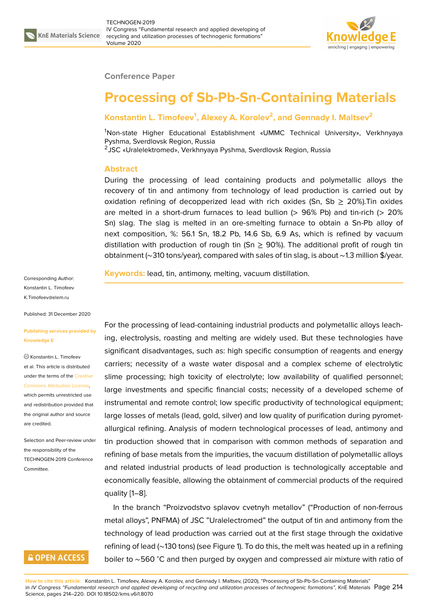

#### **Conference Paper**

# **Processing of Sb-Pb-Sn-Containing Materials**

### **Konstantin L. Timofeev<sup>1</sup> , Alexey A. Korolev<sup>2</sup> , and Gennady I. Maltsev<sup>2</sup>**

<sup>1</sup>Non-state Higher Educational Establishment «UMMC Technical University», Verkhnyaya Pyshma, Sverdlovsk Region, Russia

2 JSC «Uralelektromed», Verkhnyaya Pyshma, Sverdlovsk Region, Russia

#### **Abstract**

During the processing of lead containing products and polymetallic alloys the recovery of tin and antimony from technology of lead production is carried out by oxidation refining of decopperized lead with rich oxides (Sn, Sb  $\geq$  20%). Tin oxides are melted in a short-drum furnaces to lead bullion  $(> 96\%$  Pb) and tin-rich  $(> 20\%$ Sn) slag. The slag is melted in an ore-smelting furnace to obtain a Sn-Pb alloy of next composition, %: 56.1 Sn, 18.2 Pb, 14.6 Sb, 6.9 As, which is refined by vacuum distillation with production of rough tin (Sn  $\geq$  90%). The additional profit of rough tin obtainment (∼310 tons/year), compared with sales of tin slag, is about ∼1.3 million \$/year.

**Keywords:** lead, tin, antimony, melting, vacuum distillation.

Corresponding Author: Konstantin L. Timofeev K.Timofeev@elem.ru

Published: 31 December 2020

#### **[Publishing services p](mailto:K.Timofeev@elem.ru)rovided by Knowledge E**

Konstantin L. Timofeev et al. This article is distributed under the terms of the Creative Commons Attribution License, which permits unrestricted use

and redistribution provided that the original author and [source](https://creativecommons.org/licenses/by/4.0/) [are credited.](https://creativecommons.org/licenses/by/4.0/)

Selection and Peer-review under the responsibility of the TECHNOGEN-2019 Conference Committee.

## **GOPEN ACCESS**

For the processing of lead-containing industrial products and polymetallic alloys leaching, electrolysis, roasting and melting are widely used. But these technologies have significant disadvantages, such as: high specific consumption of reagents and energy carriers; necessity of a waste water disposal and a complex scheme of electrolytic slime processing; high toxicity of electrolyte; low availability of qualified personnel; large investments and specific financial costs; necessity of a developed scheme of instrumental and remote control; low specific productivity of technological equipment; large losses of metals (lead, gold, silver) and low quality of purification during pyrometallurgical refining. Analysis of modern technological processes of lead, antimony and tin production showed that in comparison with common methods of separation and refining of base metals from the impurities, the vacuum distillation of polymetallic alloys and related industrial products of lead production is technologically acceptable and economically feasible, allowing the obtainment of commercial products of the required quality [1–8].

In the branch "Proizvodstvo splavov cvetnyh metallov" ("Production of non-ferrous metal alloys", PNFMA) of JSC "Uralelectromed" the output of tin and antimony from the technol[o](#page-5-0)[gy](#page-6-0) of lead production was carried out at the first stage through the oxidative refining of lead (∼130 tons) (see Figure 1). To do this, the melt was heated up in a refining boiler to ∼560 <sup>∘</sup>C and then purged by oxygen and compressed air mixture with ratio of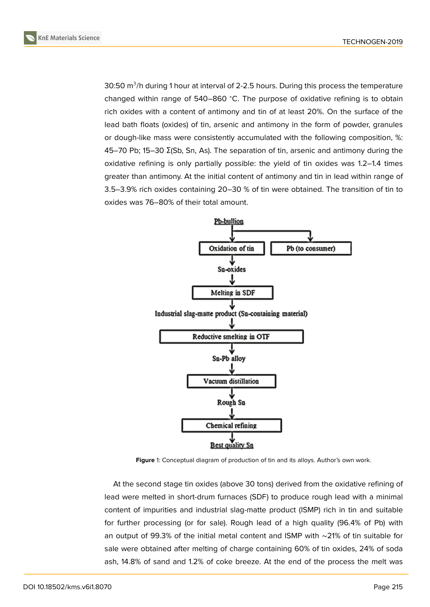

30:50 m $^3$ /h during 1 hour at interval of 2-2.5 hours. During this process the temperature changed within range of 540–860 <sup>∘</sup>C. The purpose of oxidative refining is to obtain rich oxides with a content of antimony and tin of at least 20%. On the surface of the lead bath floats (oxides) of tin, arsenic and antimony in the form of powder, granules or dough-like mass were consistently accumulated with the following composition, %: 45–70 Pb; 15–30 Σ(Sb, Sn, As). The separation of tin, arsenic and antimony during the oxidative refining is only partially possible: the yield of tin oxides was 1.2–1.4 times greater than antimony. At the initial content of antimony and tin in lead within range of 3.5–3.9% rich oxides containing 20–30 % of tin were obtained. The transition of tin to oxides was 76–80% of their total amount.



<span id="page-1-0"></span>**Figure** 1: Conceptual diagram of production of tin and its alloys. Author's own work.

At the second stage tin oxides (above 30 tons) derived from the oxidative refining of lead were melted in short-drum furnaces (SDF) to produce rough lead with a minimal content of impurities and industrial slag-matte product (ISMP) rich in tin and suitable for further processing (or for sale). Rough lead of a high quality (96.4% of Pb) with an output of 99.3% of the initial metal content and ISMP with ∼21% of tin suitable for sale were obtained after melting of charge containing 60% of tin oxides, 24% of soda ash, 14.8% of sand and 1.2% of coke breeze. At the end of the process the melt was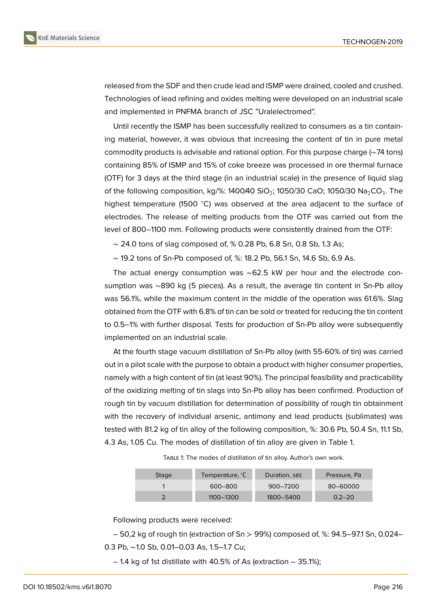



released from the SDF and then crude lead and ISMP were drained, cooled and crushed. Technologies of lead refining and oxides melting were developed on an industrial scale and implemented in PNFMA branch of JSC "Uralelectromed".

Until recently the ISMP has been successfully realized to consumers as a tin containing material, however, it was obvious that increasing the content of tin in pure metal commodity products is advisable and rational option. For this purpose charge (∼74 tons) containing 85% of ISMP and 15% of coke breeze was processed in ore thermal furnace (OTF) for 3 days at the third stage (in an industrial scale) in the presence of liquid slag of the following composition, kg/%: 1400/40 SiO $_2$ ; 1050/30 CaO; 1050/30 Na $_2$ CO $_3$ . The highest temperature (1500 °C) was observed at the area adjacent to the surface of electrodes. The release of melting products from the OTF was carried out from the level of 800–1100 mm. Following products were consistently drained from the OTF:

∼ 24.0 tons of slag composed of, % 0.28 Pb, 6.8 Sn, 0.8 Sb, 1.3 As;

∼ 19.2 tons of Sn-Pb composed of, %: 18.2 Pb, 56.1 Sn, 14.6 Sb, 6.9 As.

The actual energy consumption was ∼62.5 kW per hour and the electrode consumption was ∼890 kg (5 pieces). As a result, the average tin content in Sn-Pb alloy was 56.1%, while the maximum content in the middle of the operation was 61.6%. Slag obtained from the OTF with 6.8% of tin can be sold or treated for reducing the tin content to 0.5–1% with further disposal. Tests for production of Sn-Pb alloy were subsequently implemented on an industrial scale.

At the fourth stage vacuum distillation of Sn-Pb alloy (with 55-60% of tin) was carried out in a pilot scale with the purpose to obtain a product with higher consumer properties, namely with a high content of tin (at least 90%). The principal feasibility and practicability of the oxidizing melting of tin slags into Sn-Pb alloy has been confirmed. Production of rough tin by vacuum distillation for determination of possibility of rough tin obtainment with the recovery of individual arsenic, antimony and lead products (sublimates) was tested with 81.2 kg of tin alloy of the following composition, %: 30.6 Pb, 50.4 Sn, 11.1 Sb, 4.3 As, 1.05 Cu. The modes of distillation of tin alloy are given in Table 1.

TABLE 1: The modes of distillation of tin alloy. Author's own work.

| <b>Stage</b> | Temperature, °C | Duration, sec | Pressure, Pa |
|--------------|-----------------|---------------|--------------|
|              | 600-800         | $900 - 7200$  | 80-60000     |
|              | $1100 - 1300$   | 1800-5400     | $0.2 - 20$   |

Following products were received:

– 50,2 kg of rough tin (extraction of Sn > 99%) composed of, %: 94.5–97.1 Sn, 0.024– 0.3 Pb, ∼1.0 Sb, 0.01–0.03 As, 1.5–1.7 Cu;

– 1.4 kg of 1st distillate with 40.5% of As (extraction – 35.1%);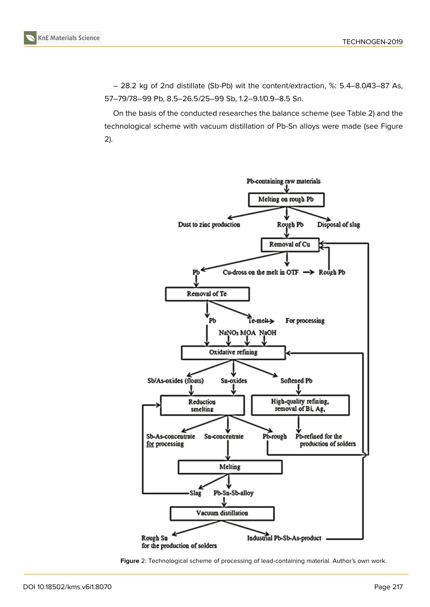– 28.2 kg of 2nd distillate (Sb-Pb) wit the content/extraction, %: 5.4–8.0/43–87 As, 57–79/78–99 Pb, 8.5–26.5/25–99 Sb, 1.2–9.1/0.9–8.5 Sn.

On the basis of the conducted researches the balance scheme (see Table 2) and the technological scheme with vacuum distillation of Pb-Sn alloys were made (see Figure 2).



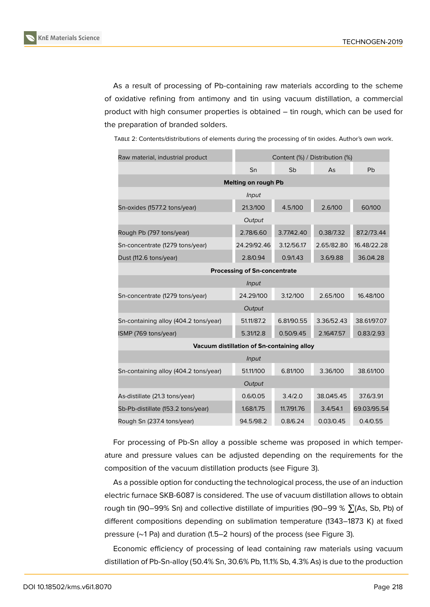As a result of processing of Pb-containing raw materials according to the scheme of oxidative refining from antimony and tin using vacuum distillation, a commercial product with high consumer properties is obtained – tin rough, which can be used for the preparation of branded solders.

| Raw material, industrial product           | Content (%) / Distribution (%) |            |            |             |  |  |  |
|--------------------------------------------|--------------------------------|------------|------------|-------------|--|--|--|
|                                            | Sn                             | Sb         | As         | Pb          |  |  |  |
| Melting on rough Pb                        |                                |            |            |             |  |  |  |
|                                            | Input                          |            |            |             |  |  |  |
| Sn-oxides (1577.2 tons/year)               | 21.3/100                       | 4.5/100    | 2.6/100    | 60/100      |  |  |  |
|                                            | Output                         |            |            |             |  |  |  |
| Rough Pb (797 tons/year)                   | 2.78/6.60                      | 3.77/42.40 | 0.38/7.32  | 87.2/73.44  |  |  |  |
| Sn-concentrate (1279 tons/year)            | 24.29/92.46                    | 3.12/56.17 | 2.65/82.80 | 16.48/22.28 |  |  |  |
| Dust (112.6 tons/year)                     | 2.8/0.94                       | 0.9/1.43   | 3.6/9.88   | 36.0/4.28   |  |  |  |
| <b>Processing of Sn-concentrate</b>        |                                |            |            |             |  |  |  |
| Input                                      |                                |            |            |             |  |  |  |
| Sn-concentrate (1279 tons/year)            | 24.29/100                      | 3.12/100   | 2.65/100   | 16.48/100   |  |  |  |
| Output                                     |                                |            |            |             |  |  |  |
| Sn-containing alloy (404.2 tons/year)      | 51.11/87.2                     | 6.81/90.55 | 3.36/52.43 | 38.61/97.07 |  |  |  |
| ISMP (769 tons/year)                       | 5.31/12.8                      | 0.50/9.45  | 2.16/47.57 | 0.83/2.93   |  |  |  |
| Vacuum distillation of Sn-containing alloy |                                |            |            |             |  |  |  |
|                                            | Input                          |            |            |             |  |  |  |
| Sn-containing alloy (404.2 tons/year)      | 51.11/100                      | 6.81/100   | 3.36/100   | 38.61/100   |  |  |  |
| Output                                     |                                |            |            |             |  |  |  |
| As-distillate (21.3 tons/year)             | 0.6/0.05                       | 3.4/2.0    | 38.0/45.45 | 37.6/3.91   |  |  |  |
| Sb-Pb-distillate (153.2 tons/year)         | 1.68/1.75                      | 11.7/91.76 | 3.4/54.1   | 69.03/95.54 |  |  |  |
| Rough Sn (237.4 tons/year)                 | 94.5/98.2                      | 0.8/6.24   | 0.03/0.45  | 0.4/0.55    |  |  |  |

TABLE 2: Contents/distributions of elements during the processing of tin oxides. Author's own work.

For processing of Pb-Sn alloy a possible scheme was proposed in which temperature and pressure values can be adjusted depending on the requirements for the composition of the vacuum distillation products (see Figure 3).

As a possible option for conducting the technological process, the use of an induction electric furnace SKB-6087 is considered. The use of vacuum distillation allows to obtain rough tin [\(9](#page-5-1)0–99% Sn) and collective distillate of impurities (90–99 %  $\sum(As, Sb, Pb)$  of different compositions depending on sublimation temperature (1343–1873 K) at fixed pressure (∼1 Pa) and duration (1.5–2 hours) of the process (see Figure 3).

Economic efficiency of processing of lead containing raw materials using vacuum distillation of Pb-Sn-alloy (50.4% Sn, 30.6% Pb, 11.1% Sb, 4.3% As) is due to the production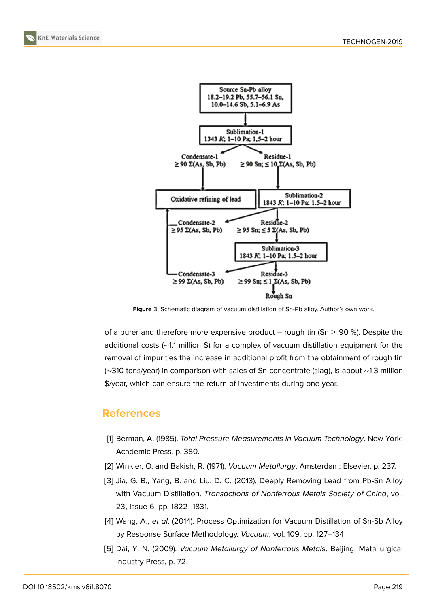



<span id="page-5-1"></span>**Figure** 3: Schematic diagram of vacuum distillation of Sn-Pb alloy. Author's own work.

of a purer and therefore more expensive product – rough tin (Sn  $\geq$  90 %). Despite the additional costs (∼1.1 million \$) for a complex of vacuum distillation equipment for the removal of impurities the increase in additional profit from the obtainment of rough tin (∼310 tons/year) in comparison with sales of Sn-concentrate (slag), is about ∼1.3 million \$/year, which can ensure the return of investments during one year.

## **References**

- <span id="page-5-0"></span>[1] Berman, A. (1985). *Total Pressure Measurements in Vacuum Technology*. New York: Academic Press, p. 380.
- [2] Winkler, O. and Bakish, R. (1971). *Vacuum Metallurgy*. Amsterdam: Elsevier, p. 237.
- [3] Jia, G. B., Yang, B. and Liu, D. C. (2013). Deeply Removing Lead from Pb-Sn Alloy with Vacuum Distillation. *Transactions of Nonferrous Metals Society of China*, vol. 23, issue 6, pp. 1822–1831.
- [4] Wang, A., *et al*. (2014). Process Optimization for Vacuum Distillation of Sn-Sb Alloy by Response Surface Methodology. *Vacuum*, vol. 109, pp. 127–134.
- [5] Dai, Y. N. (2009). *Vacuum Metallurgy of Nonferrous Metal*s. Beijing: Metallurgical Industry Press, p. 72.